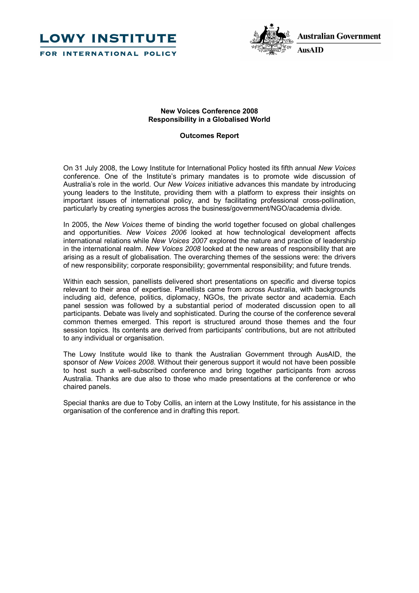



# **New Voices Conference 2008 Responsibility in a Globalised World**

# **Outcomes Report**

On 31 July 2008, the Lowy Institute for International Policy hosted its fifth annual *New Voices* conference. One of the Institute's primary mandates is to promote wide discussion of Australia's role in the world. Our *New Voices* initiative advances this mandate by introducing young leaders to the Institute, providing them with a platform to express their insights on important issues of international policy, and by facilitating professional cross-pollination, particularly by creating synergies across the business/government/NGO/academia divide.

In 2005, the *New Voices* theme of binding the world together focused on global challenges and opportunities. *New Voices 2006* looked at how technological development affects international relations while *New Voices 2007* explored the nature and practice of leadership in the international realm. *New Voices 2008* looked at the new areas of responsibility that are arising as a result of globalisation. The overarching themes of the sessions were: the drivers of new responsibility; corporate responsibility; governmental responsibility; and future trends.

Within each session, panellists delivered short presentations on specific and diverse topics relevant to their area of expertise. Panellists came from across Australia, with backgrounds including aid, defence, politics, diplomacy, NGOs, the private sector and academia. Each panel session was followed by a substantial period of moderated discussion open to all participants. Debate was lively and sophisticated. During the course of the conference several common themes emerged. This report is structured around those themes and the four session topics. Its contents are derived from participants' contributions, but are not attributed to any individual or organisation.

The Lowy Institute would like to thank the Australian Government through AusAID, the sponsor of *New Voices 2008*. Without their generous support it would not have been possible to host such a well-subscribed conference and bring together participants from across Australia. Thanks are due also to those who made presentations at the conference or who chaired panels.

Special thanks are due to Toby Collis, an intern at the Lowy Institute, for his assistance in the organisation of the conference and in drafting this report.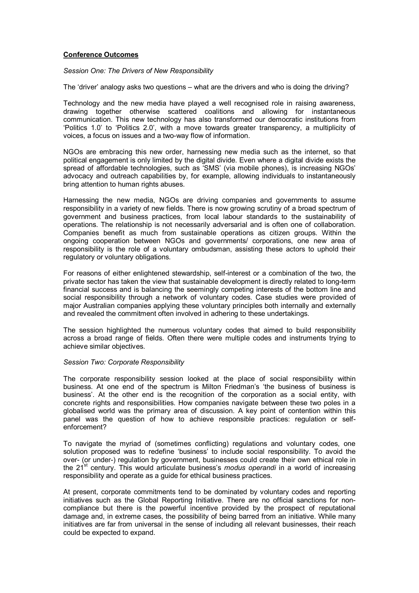## **Conference Outcomes**

*Session One: The Drivers of New Responsibility*

The 'driver' analogy asks two questions – what are the drivers and who is doing the driving?

Technology and the new media have played a well recognised role in raising awareness, drawing together otherwise scattered coalitions and allowing for instantaneous communication. This new technology has also transformed our democratic institutions from 'Politics 1.0' to 'Politics 2.0', with a move towards greater transparency, a multiplicity of voices, a focus on issues and a two-way flow of information.

NGOs are embracing this new order, harnessing new media such as the internet, so that political engagement is only limited by the digital divide. Even where a digital divide exists the spread of affordable technologies, such as 'SMS' (via mobile phones), is increasing NGOs' advocacy and outreach capabilities by, for example, allowing individuals to instantaneously bring attention to human rights abuses.

Harnessing the new media, NGOs are driving companies and governments to assume responsibility in a variety of new fields. There is now growing scrutiny of a broad spectrum of government and business practices, from local labour standards to the sustainability of operations. The relationship is not necessarily adversarial and is often one of collaboration. Companies benefit as much from sustainable operations as citizen groups. Within the ongoing cooperation between NGOs and governments/ corporations, one new area of responsibility is the role of a voluntary ombudsman, assisting these actors to uphold their regulatory or voluntary obligations.

For reasons of either enlightened stewardship, self-interest or a combination of the two, the private sector has taken the view that sustainable development is directly related to long-term financial success and is balancing the seemingly competing interests of the bottom line and social responsibility through a network of voluntary codes. Case studies were provided of major Australian companies applying these voluntary principles both internally and externally and revealed the commitment often involved in adhering to these undertakings.

The session highlighted the numerous voluntary codes that aimed to build responsibility across a broad range of fields. Often there were multiple codes and instruments trying to achieve similar objectives.

## *Session Two: Corporate Responsibility*

The corporate responsibility session looked at the place of social responsibility within business. At one end of the spectrum is Milton Friedman's 'the business of business is business'. At the other end is the recognition of the corporation as a social entity, with concrete rights and responsibilities. How companies navigate between these two poles in a globalised world was the primary area of discussion. A key point of contention within this panel was the question of how to achieve responsible practices: regulation or self enforcement?

To navigate the myriad of (sometimes conflicting) regulations and voluntary codes, one solution proposed was to redefine 'business' to include social responsibility. To avoid the over- (or under-) regulation by government, businesses could create their own ethical role in the 21 st century. This would articulate business's *modus operandi* in a world of increasing responsibility and operate as a guide for ethical business practices.

At present, corporate commitments tend to be dominated by voluntary codes and reporting initiatives such as the Global Reporting Initiative. There are no official sanctions for noncompliance but there is the powerful incentive provided by the prospect of reputational damage and, in extreme cases, the possibility of being barred from an initiative. While many initiatives are far from universal in the sense of including all relevant businesses, their reach could be expected to expand.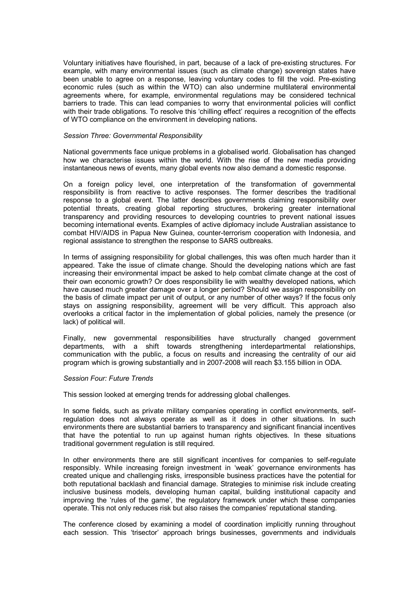Voluntary initiatives have flourished, in part, because of a lack of pre-existing structures. For example, with many environmental issues (such as climate change) sovereign states have been unable to agree on a response, leaving voluntary codes to fill the void. Pre-existing economic rules (such as within the WTO) can also undermine multilateral environmental agreements where, for example, environmental regulations may be considered technical barriers to trade. This can lead companies to worry that environmental policies will conflict with their trade obligations. To resolve this 'chilling effect' requires a recognition of the effects of WTO compliance on the environment in developing nations.

#### *Session Three: Governmental Responsibility*

National governments face unique problems in a globalised world. Globalisation has changed how we characterise issues within the world. With the rise of the new media providing instantaneous news of events, many global events now also demand a domestic response.

On a foreign policy level, one interpretation of the transformation of governmental responsibility is from reactive to active responses. The former describes the traditional response to a global event. The latter describes governments claiming responsibility over potential threats, creating global reporting structures, brokering greater international transparency and providing resources to developing countries to prevent national issues becoming international events. Examples of active diplomacy include Australian assistance to combat HIV/AIDS in Papua New Guinea, counter-terrorism cooperation with Indonesia, and regional assistance to strengthen the response to SARS outbreaks.

In terms of assigning responsibility for global challenges, this was often much harder than it appeared. Take the issue of climate change. Should the developing nations which are fast increasing their environmental impact be asked to help combat climate change at the cost of their own economic growth? Or does responsibility lie with wealthy developed nations, which have caused much greater damage over a longer period? Should we assign responsibility on the basis of climate impact per unit of output, or any number of other ways? Ifthe focus only stays on assigning responsibility, agreement will be very difficult. This approach also overlooks a critical factor in the implementation of global policies, namely the presence (or lack) of political will.

Finally, new governmental responsibilities have structurally changed government departments, with a shift towards strengthening interdepartmental relationships, communication with the public, a focus on results and increasing the centrality of our aid program which is growing substantially and in 20072008 will reach \$3.155 billion in ODA.

## *Session Four: Future Trends*

This session looked at emerging trends for addressing global challenges.

In some fields, such as private military companies operating in conflict environments, selfregulation does not always operate as well as it does in other situations. In such environments there are substantial barriers to transparency and significant financial incentives that have the potential to run up against human rights objectives. In these situations traditional government regulation is still required.

In other environments there are still significant incentives for companies to self-regulate responsibly. While increasing foreign investment in 'weak' governance environments has created unique and challenging risks, irresponsible business practices have the potential for both reputational backlash and financial damage. Strategies to minimise risk include creating inclusive business models, developing human capital, building institutional capacity and improving the 'rules of the game', the regulatory framework under which these companies operate. This not only reduces risk but also raises the companies' reputational standing.

The conference closed by examining a model of coordination implicitly running throughout each session. This 'trisector' approach brings businesses, governments and individuals